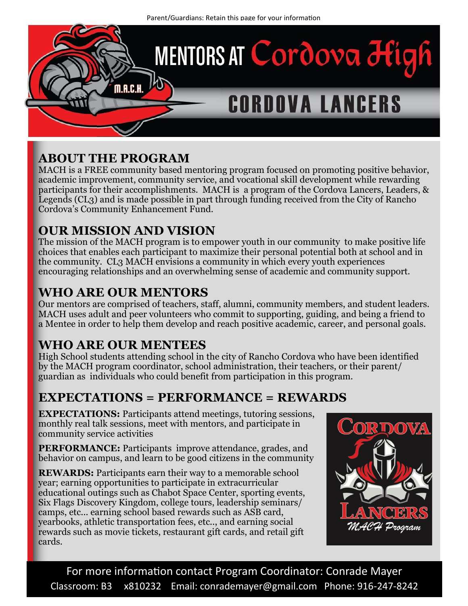

## **ABOUT THE PROGRAM**

MACH is a FREE community based mentoring program focused on promoting positive behavior, academic improvement, community service, and vocational skill development while rewarding participants for their accomplishments. MACH is a program of the Cordova Lancers, Leaders, & Legends (CL3) and is made possible in part through funding received from the City of Rancho Cordova's Community Enhancement Fund.

#### **OUR MISSION AND VISION**

The mission of the MACH program is to empower youth in our community to make positive life choices that enables each participant to maximize their personal potential both at school and in the community. CL3 MACH envisions a community in which every youth experiences encouraging relationships and an overwhelming sense of academic and community support.

### **WHO ARE OUR MENTORS**

Our mentors are comprised of teachers, staff, alumni, community members, and student leaders. MACH uses adult and peer volunteers who commit to supporting, guiding, and being a friend to a Mentee in order to help them develop and reach positive academic, career, and personal goals.

### **WHO ARE OUR MENTEES**

High School students attending school in the city of Rancho Cordova who have been identified by the MACH program coordinator, school administration, their teachers, or their parent/ guardian as individuals who could benefit from participation in this program.

## **EXPECTATIONS = PERFORMANCE = REWARDS**

**EXPECTATIONS:** Participants attend meetings, tutoring sessions, monthly real talk sessions, meet with mentors, and participate in community service activities

**PERFORMANCE:** Participants improve attendance, grades, and behavior on campus, and learn to be good citizens in the community

**REWARDS:** Participants earn their way to a memorable school year; earning opportunities to participate in extracurricular educational outings such as Chabot Space Center, sporting events, Six Flags Discovery Kingdom, college tours, leadership seminars/ camps, etc... earning school based rewards such as ASB card, yearbooks, athletic transportation fees, etc.., and earning social rewards such as movie tickets, restaurant gift cards, and retail gift cards.



For more information contact Program Coordinator: Conrade Mayer Classroom: B3 x810232 Email: conrademayer@gmail.com Phone: 916-247-8242